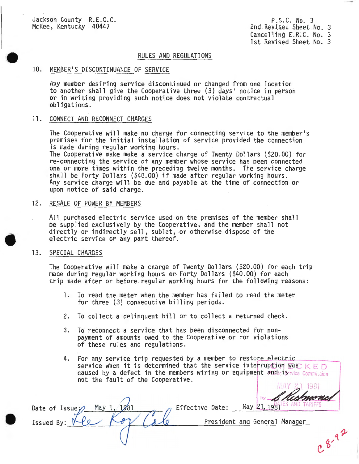Jackson County R.E.C.C. McKee, Kentucky . 40447

P .S.C . No. 3 2nd Revised Sheet No. 3 Cancelling E.R.C. No. 3 1st Revised Sheet No. 3

# RULES AND REGULATIONS

# 10. MEMBER'S DISCONTINUANCE OF SERVICE

Any member desiring service discontinued or changed from one location to another shall give the Cooperative three (3) days ' notice in person or in writing providing such notice does not violate contractual obligations.

#### 11. CONNECT AND RECONNECT CHARGES

The Cooperative will make no charge for connecting service to the member's premises for the initial installation of service provided the connection is made during regular working hours.

The Cooperative make make a service charge of Twenty Dollars (\$20.00) for re-connecting the service of any member whose service has been connected one or more times within the preceding twelve months. The service charge shall be Forty Dollars (\$40.00) if made after regular working hours. Any service charge will be due and payable at the time of connection or upon notice of said charge.

# 12. RESALE OF POWER BY MEMBERS

May 1, 1981

All purchased electric service used on the premises of the member shall be supplied exclusively by the Cooperative , and the member shall not directly or indirectly sell, sublet, or otherwise dispose of the electric service or any part thereof.

# 13. SPECIAL CHARGES

Date of Issue

Issued By:

•

The Cooperative will make a charge of Twenty Dollars (\$20 .00) for each trip made during regular working hours or Forty Dollars (\$40.00) for each trip made after or before regular working hours for the following reasons :

- l. To read the meter when the member has failed to read the meter for three (3) consecutive billing periods.
- 2. To collect a delinquent bill or to collect a returned check.
- 3. To reconnect a service that has been disconnected for nonpayment of amounts owed to the Cooperative or for violations of these rules and regulations.
- 4. For any service trip requested by a member to restore electric service when it is determined that the service interruption was  $K \to D$ caused by a defect in the members wiring or equipment and iciservice Commission not the fault of the Cooperative.

Effective Date:

1981 May 21, 1981

 $0.8 - 9.2$ 

President and General Manager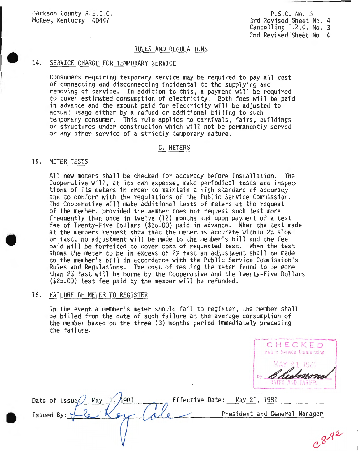Jackson County R.E.C.C. McKee, Kentucky 40447

P.S.C. No. 3 3rd Revised Sheet No. 4 Cancelling  $E.R.C. No. 3$ 2nd Revised Sheet No. 4

#### RULES AND REGULATIONS

#### 14. SERVICE CHARGE FOR TEMPORARY SERVICE

Consumers requiring temporary service may be required to pay all cost of connecting and disconnecting incidental to the supplying and removing of service. In addition to this, a payment will be required to cover estimated consumption of electricity. Both fees will be paid in advance and the amount paid for electricity will be adjusted to actual usage either by a refund or additional billing to such temporary consumer. This rule applies to carnivals, fairs, buildings or structures under construction which will not be permanently served or any other service of a strictly temporary nature .

#### C. METERS

# 15. METER TESTS

All new meters shall be checked for accuracy before installation. The Cooperative will, at its own expense, make periodical tests and inspec- tions of its meters in order to maintain a high standard of accuracy and to conform with the regulations of the Public Service Commission . The Cooperative will make additional tests of meters at the request of the member, provided the member does not request such test more frequently than once in twelve (12) months and upon payment of a test fee of Twenty-Five Dollars (\$25.00) paid in advance . When the test made at the members request show that the meter is accurate within 2% slow or fast, no adjustment will be made to the member's bill and the fee paid will be forfeited to cover cost of requested test. When the test shows the meter to be in excess of 2% fast an adjustment shall be made to the member's bill in accordance with the Public Service Commission's Rules and Regulations. The cost of testing the meter found to be more than 2% fast will be borne by the Cooperative and the Twenty-Five Dollars (\$25.00) test fee paid by the member will be refunded .

# 16. FAILURE OF METER TO REGISTER

In the event a member's meter should fail to register, the member shall be billed from the date of such failure at the average consumption of the member based on the three (3) months period immediately preceding the failure.

<sup>C</sup> <sup>H</sup> <sup>E</sup> <sup>C</sup> KED Public Service Commission MAY 21 1981 estmone RATES AND TARIFFS

| Date of Issue, May<br>1981 | Effective Date: May 21, 1981  |
|----------------------------|-------------------------------|
| Issued By: $\nabla$        | President and General Manager |
|                            |                               |
|                            |                               |

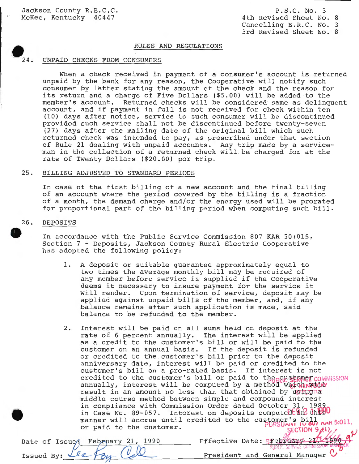Jackson County R.E.C.C. McKee, Kentucky 40447

P. S.C. No. 3 4th Revised Sheet No. 8 Cancelling E.R.C. No. 3 3rd Revised Sheet No. 8

# RULES AND REGULATIONS

# $\bullet$ <sub>24</sub>. UNPAID CHECKS FROM CONSUMERS

When a check received in payment of a consumer's account is returned unpaid by the bank for any reason, the Cooperative will notify such consumer by letter stating the amount of the check and the reason for its return and a charge of Five Dollars (\$5.00) will be added to the member's account. Returned checks will be considered same as delinquent account, and if payment in full is not received for check within ten (10) days after notice, service to such consumer will be discontinued provided such service shall not be discontinued before twenty-seven (27) days after the mailing date of the original bill which such returned check was intended to pay, as prescribed under that section of Rule 21 dealing with unpaid accounts. Any trip made by a serviceman in the collection of a returned check will be charged for at the rate of Twenty Dollars (\$20.00) per trip.

#### 25. BILLING ADJUSTED TO STANDARD PERIODS

In case of the first billing of a new account and the final billing of an account where the period covered by the billing is a fraction of a month, the demand charge and/or the energy used will be prorated for proportional part of the billing period when computing such bill.

# **e**  26. DEPOSITS

In accordance with the Public Service Commission 807 KAR 50:015, Section 7 - Deposits, Jackson County Rural Electric Cooperative has adopted the following policy:

- 1. A deposit or suitable guarantee approximately equal to two times the average monthly bill may be required of any member before service is supplied if the Cooperative deems it necessary to insure payment for the service it will render. Upon termination of service, deposit may be applied against unpaid bills of the member, and, if any balance remains after such application is made, said balance to be refunded to the member.
- 2. Interest will be paid on all sums held on deposit at the rate of 6 percent annually. The interest will be applied as a credit to the customer's bill or will be paid to the customer on an annual basis. If the deposit is refunded customer on an annuar basis. If the deposit is ferunded<br>or credited to the customer's bill prior to the deposit anniversary date, interest will be paid or credited to the customer's bill on a pro-rated basis. If interest is not credited to the customer's bill or paid to the customer commission annually, interest will be computed by a method  $W$  which we have result in an amount no less than that obtained by using  $\alpha$ middle course method between simple and compound interest in compliance with Commission Order dated October 31, 1989 in Case No. 89-057. Interest on deposits computed  $\mathbb{R}^n$  this U manner will accrue until credited to the customer's bill and 5:011, or paid to the customer. or paid to the customer.<br>SECTION 9(1), by an analyzing  $\frac{1}{2}$

| Date of Issue <sup>2</sup> February 21, 1990 | Effective Date: BFebruary 211/1996                     |
|----------------------------------------------|--------------------------------------------------------|
|                                              | PUBLIC SERVICE COMMISSION MANUAL                       |
| Issued By: Lee For Coll                      | President and General Manager $\mathbb{C}^{\setminus}$ |
|                                              |                                                        |